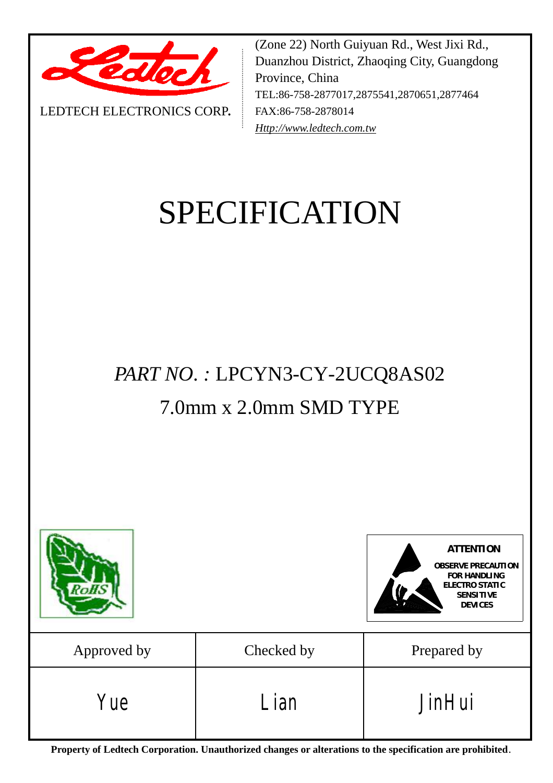

LEDTECH ELECTRONICS CORP**.**

(Zone 22) North Guiyuan Rd., West Jixi Rd., Duanzhou District, Zhaoqing City, Guangdong Province, China TEL:86-758-2877017,2875541,2870651,2877464 FAX:86-758-2878014 *[Http://www.ledtech.com.tw](http://www.ledtech.com.tw)*

# SPECIFICATION

*PART NO. :* LPCYN3-CY-2UCQ8AS02

## 7.0mm x 2.0mm SMD TYPE



**Property of Ledtech Corporation. Unauthorized changes or alterations to the specification are prohibited***.*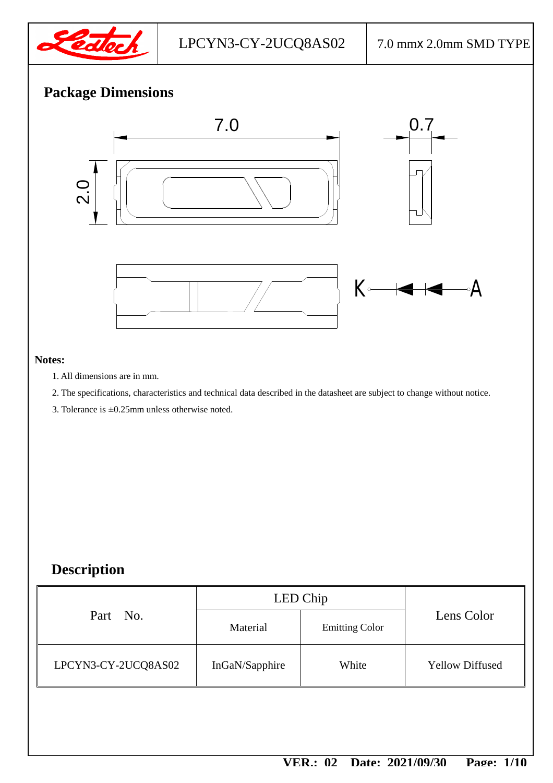

## **Package Dimensions**



#### **Notes:**

- 1. All dimensions are in mm.
- 2. The specifications, characteristics and technical data described in the datasheet are subject to change without notice.
- 3. Tolerance is ±0.25mm unless otherwise noted.

## **Description**

| Material       | <b>Emitting Color</b> | Lens Color             |
|----------------|-----------------------|------------------------|
| InGaN/Sapphire | White                 | <b>Yellow Diffused</b> |
|                |                       | LED Chip               |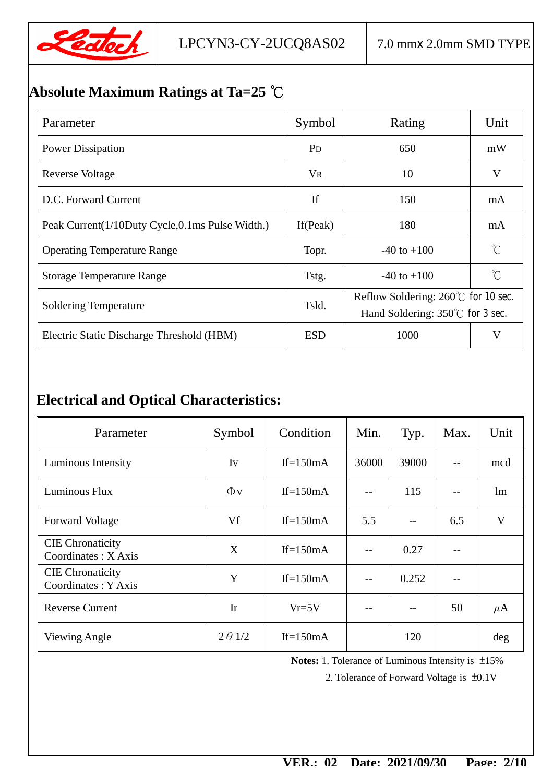

## **Absolute Maximum Ratings at Ta=25 ℃**

| Parameter                                       | Symbol                | Rating                                                                                  | Unit |
|-------------------------------------------------|-----------------------|-----------------------------------------------------------------------------------------|------|
| <b>Power Dissipation</b>                        | <b>P</b> <sub>D</sub> | 650                                                                                     | mW   |
| Reverse Voltage                                 | <b>VR</b>             | 10                                                                                      | V    |
| D.C. Forward Current                            | If                    | 150                                                                                     | mA   |
| Peak Current(1/10Duty Cycle,0.1ms Pulse Width.) | If (Peak)             | 180                                                                                     | mA   |
| <b>Operating Temperature Range</b>              | Topr.                 | $\int_{0}^{\infty}$<br>$-40$ to $+100$                                                  |      |
| <b>Storage Temperature Range</b>                | Tstg.                 | $\mathrm{C}^{\circ}$<br>$-40$ to $+100$                                                 |      |
| <b>Soldering Temperature</b>                    | Tsld.                 | Reflow Soldering: $260^{\circ}$ for 10 sec.<br>Hand Soldering: $350^{\circ}$ for 3 sec. |      |
| Electric Static Discharge Threshold (HBM)       | <b>ESD</b>            | 1000<br>V                                                                               |      |

## **Electrical and Optical Characteristics:**

| Parameter                                           | Symbol         | Condition   | Min.  | Typ.  | Max. | Unit    |
|-----------------------------------------------------|----------------|-------------|-------|-------|------|---------|
| Luminous Intensity                                  | Iv             | If= $150mA$ | 36000 | 39000 |      | mcd     |
| Luminous Flux                                       | $\Phi$ v       | If= $150mA$ |       | 115   | --   | lm      |
| <b>Forward Voltage</b>                              | Vf             | If= $150mA$ | 5.5   |       | 6.5  | V       |
| <b>CIE</b> Chronaticity<br>Coordinates : $X A x is$ | X              | If= $150mA$ |       | 0.27  | --   |         |
| <b>CIE</b> Chronaticity<br>Coordinates: Y Axis      | Y              | $If=150mA$  | $-$   | 0.252 |      |         |
| <b>Reverse Current</b>                              | Ir             | $Vr = 5V$   |       |       | 50   | $\mu$ A |
| Viewing Angle                                       | $2 \theta$ 1/2 | If= $150mA$ |       | 120   |      | $\deg$  |

 **Notes:** 1. Tolerance of Luminous Intensity is ±15%

2. Tolerance of Forward Voltage is ±0.1V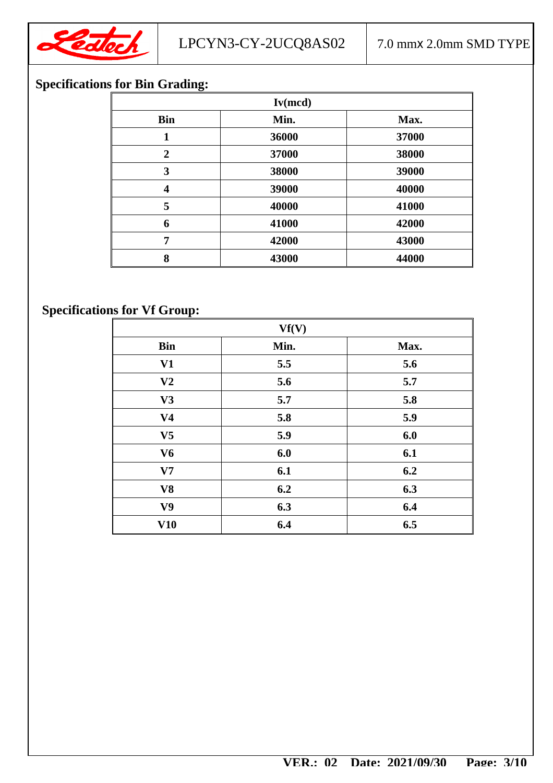

## **Specifications for Bin Grading:**

| Iv(mcd)                 |       |       |  |  |
|-------------------------|-------|-------|--|--|
| <b>Bin</b>              | Min.  | Max.  |  |  |
| 1                       | 36000 | 37000 |  |  |
| $\overline{2}$          | 37000 | 38000 |  |  |
| 3                       | 38000 | 39000 |  |  |
| $\overline{\mathbf{4}}$ | 39000 | 40000 |  |  |
| 5                       | 40000 | 41000 |  |  |
| 6                       | 41000 | 42000 |  |  |
| 7                       | 42000 | 43000 |  |  |
| 8                       | 43000 | 44000 |  |  |

## **Specifications for Vf Group:**

| Vf(V)          |      |      |  |  |
|----------------|------|------|--|--|
| <b>Bin</b>     | Min. | Max. |  |  |
| V1             | 5.5  | 5.6  |  |  |
| V <sub>2</sub> | 5.6  | 5.7  |  |  |
| V3             | 5.7  | 5.8  |  |  |
| V <sub>4</sub> | 5.8  | 5.9  |  |  |
| V <sub>5</sub> | 5.9  | 6.0  |  |  |
| V <sub>6</sub> | 6.0  | 6.1  |  |  |
| V7             | 6.1  | 6.2  |  |  |
| V <sub>8</sub> | 6.2  | 6.3  |  |  |
| V <sub>9</sub> | 6.3  | 6.4  |  |  |
| V10            | 6.4  | 6.5  |  |  |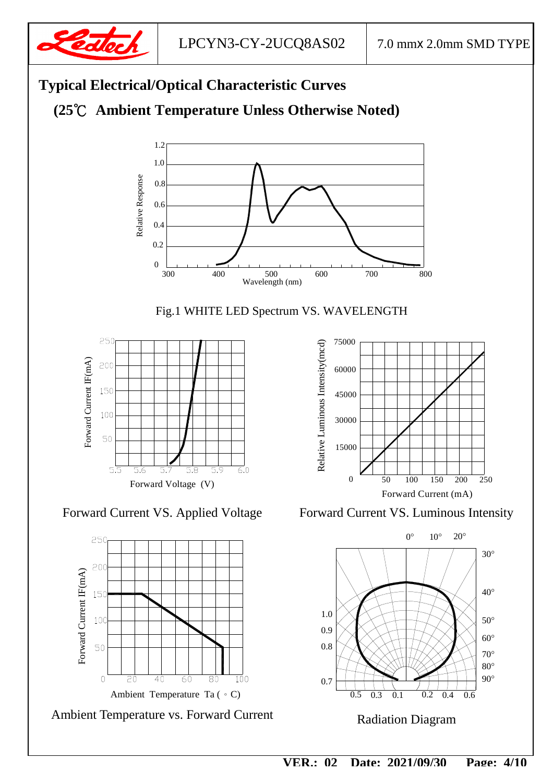





 $\overline{4\overline{0}}$ 

20

 $\overline{0}$ 

Ambient Temperature Ta (。C)

 $\overline{60}$ 

80

 $\overline{10}0$ 

 **VER.: 02 Date: 2021/09/30 Page: 4/10**

Radiation Diagram

 $\overline{0.5}$ 

0.3

0.7

90°

 $0.2$  0.4 0.6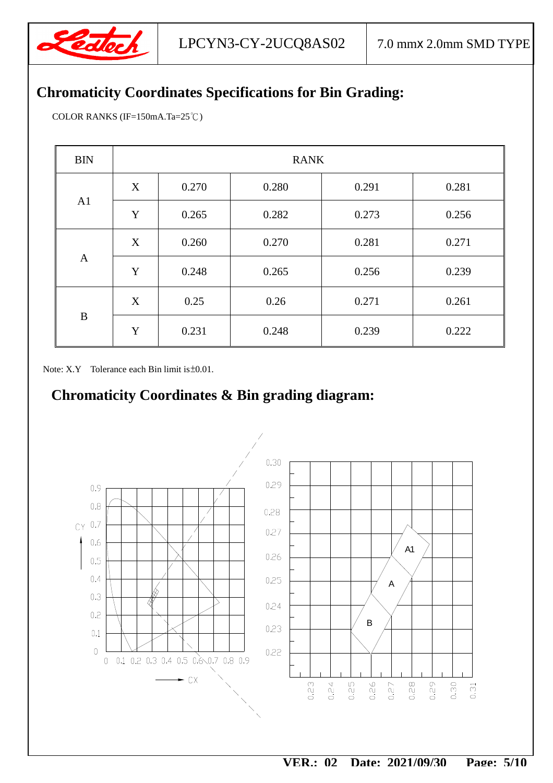

## **Chromaticity Coordinates Specifications for Bin Grading:**

COLOR RANKS (IF=150mA.Ta=25℃)

| <b>BIN</b>     | <b>RANK</b> |       |       |       |       |  |
|----------------|-------------|-------|-------|-------|-------|--|
|                | X           | 0.270 | 0.280 | 0.291 | 0.281 |  |
| A <sub>1</sub> | Y           | 0.265 | 0.282 | 0.273 | 0.256 |  |
|                | X           | 0.260 | 0.270 | 0.281 | 0.271 |  |
| $\mathbf{A}$   | Y           | 0.248 | 0.265 | 0.256 | 0.239 |  |
|                | X           | 0.25  | 0.26  | 0.271 | 0.261 |  |
| $\bf{B}$       | Y           | 0.231 | 0.248 | 0.239 | 0.222 |  |

Note: X.Y Tolerance each Bin limit is ±0.01.

## **Chromaticity Coordinates & Bin grading diagram:**

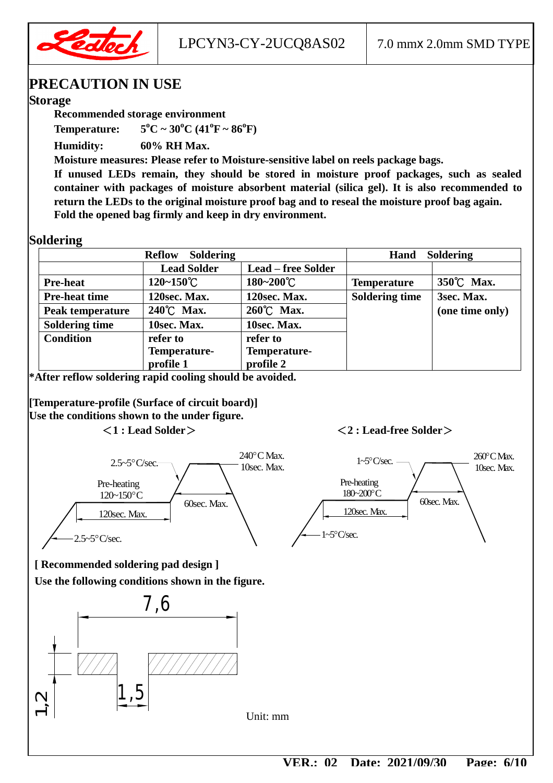

LPCYN3-CY-2UCQ8AS02 | 7.0 mmx 2.0mm SMD TYPE

## **PRECAUTION IN USE**

#### **Storage**

**Recommended storage environment** 

**Temperature:**  $5^{\circ}C \sim 30^{\circ}C (41^{\circ}F \sim 86^{\circ}F)$ 

**Humidity: 60% RH Max.** 

**Moisture measures: Please refer to Moisture-sensitive label on reels package bags.** 

**If unused LEDs remain, they should be stored in moisture proof packages, such as sealed container with packages of moisture absorbent material (silica gel). It is also recommended to return the LEDs to the original moisture proof bag and to reseal the moisture proof bag again. Fold the opened bag firmly and keep in dry environment.** 

#### **Soldering**

| <b>Soldering</b><br><b>Reflow</b> |                       |                           | <b>Soldering</b><br>Hand |                 |  |
|-----------------------------------|-----------------------|---------------------------|--------------------------|-----------------|--|
|                                   | <b>Lead Solder</b>    | <b>Lead – free Solder</b> |                          |                 |  |
| <b>Pre-heat</b>                   | $120 - 150^{\circ}$ C | $180 - 200^{\circ}C$      | <b>Temperature</b>       | 350°C Max.      |  |
| <b>Pre-heat time</b>              | 120sec. Max.          | 120sec. Max.              | <b>Soldering time</b>    | 3sec. Max.      |  |
| Peak temperature                  | 240°C Max.            | 260°C Max.                |                          | (one time only) |  |
| <b>Soldering time</b>             | 10sec. Max.           | 10sec. Max.               |                          |                 |  |
| <b>Condition</b>                  | refer to              | refer to                  |                          |                 |  |
|                                   | Temperature-          | Temperature-              |                          |                 |  |
|                                   | profile 1             | profile 2                 |                          |                 |  |

**\*After reflow soldering rapid cooling should be avoided.** 

**[Temperature-profile (Surface of circuit board)] Use the conditions shown to the under figure.** 

#### **<1 : Lead Solder> <2 : Lead-free Solder>**



**[ Recommended soldering pad design ]** 

**Use the following conditions shown in the figure.** 



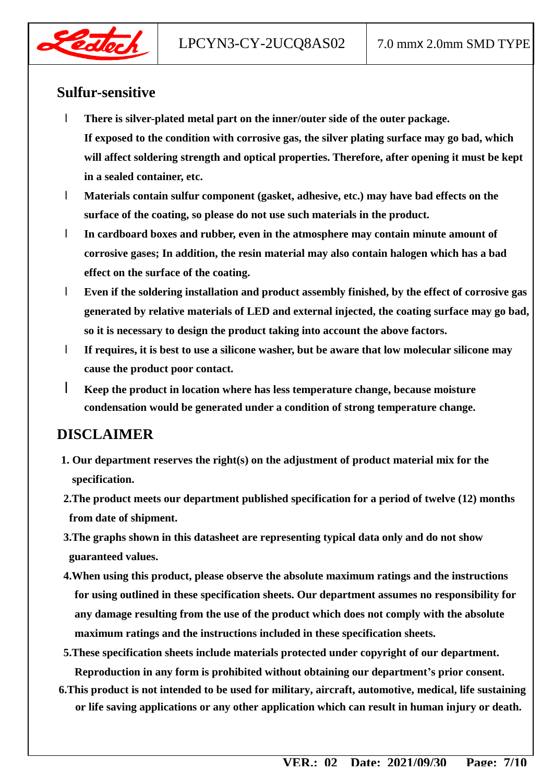

## **Sulfur-sensitive**

- l **There is silver-plated metal part on the inner/outer side of the outer package. If exposed to the condition with corrosive gas, the silver plating surface may go bad, which will affect soldering strength and optical properties. Therefore, after opening it must be kept in a sealed container, etc.**
- l **Materials contain sulfur component (gasket, adhesive, etc.) may have bad effects on the surface of the coating, so please do not use such materials in the product.**
- l **In cardboard boxes and rubber, even in the atmosphere may contain minute amount of corrosive gases; In addition, the resin material may also contain halogen which has a bad effect on the surface of the coating.**
- l **Even if the soldering installation and product assembly finished, by the effect of corrosive gas generated by relative materials of LED and external injected, the coating surface may go bad, so it is necessary to design the product taking into account the above factors.**
- l **If requires, it is best to use a silicone washer, but be aware that low molecular silicone may cause the product poor contact.**
- l **Keep the product in location where has less temperature change, because moisture condensation would be generated under a condition of strong temperature change.**

## **DISCLAIMER**

- **1. Our department reserves the right(s) on the adjustment of product material mix for the specification.**
- **2.The product meets our department published specification for a period of twelve (12) months from date of shipment.**
- **3.The graphs shown in this datasheet are representing typical data only and do not show guaranteed values.**
- **4.When using this product, please observe the absolute maximum ratings and the instructions for using outlined in these specification sheets. Our department assumes no responsibility for any damage resulting from the use of the product which does not comply with the absolute maximum ratings and the instructions included in these specification sheets.**
- **5.These specification sheets include materials protected under copyright of our department. Reproduction in any form is prohibited without obtaining our department's prior consent.**
- **6.This product is not intended to be used for military, aircraft, automotive, medical, life sustaining or life saving applications or any other application which can result in human injury or death.**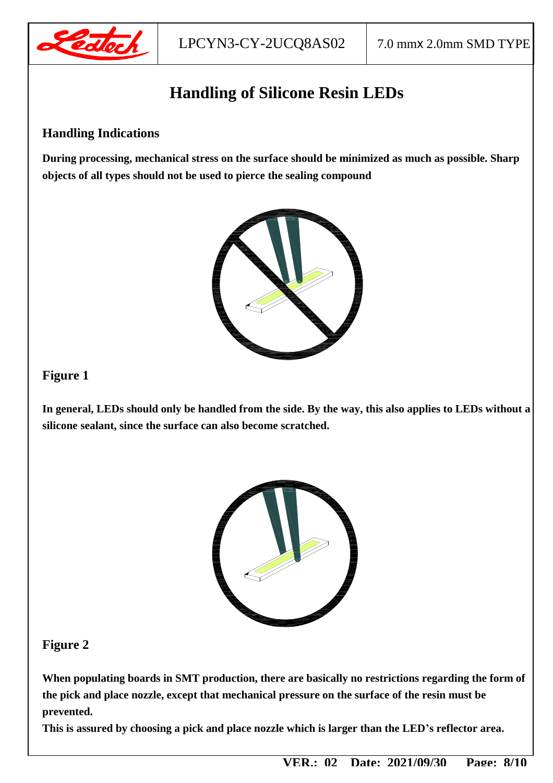

## **Handling of Silicone Resin LEDs**

#### **Handling Indications**

**During processing, mechanical stress on the surface should be minimized as much as possible. Sharp objects of all types should not be used to pierce the sealing compound** 



#### **Figure 1**

**In general, LEDs should only be handled from the side. By the way, this also applies to LEDs without a silicone sealant, since the surface can also become scratched.** 



#### **Figure 2**

**When populating boards in SMT production, there are basically no restrictions regarding the form of the pick and place nozzle, except that mechanical pressure on the surface of the resin must be prevented.** 

**This is assured by choosing a pick and place nozzle which is larger than the LED's reflector area.**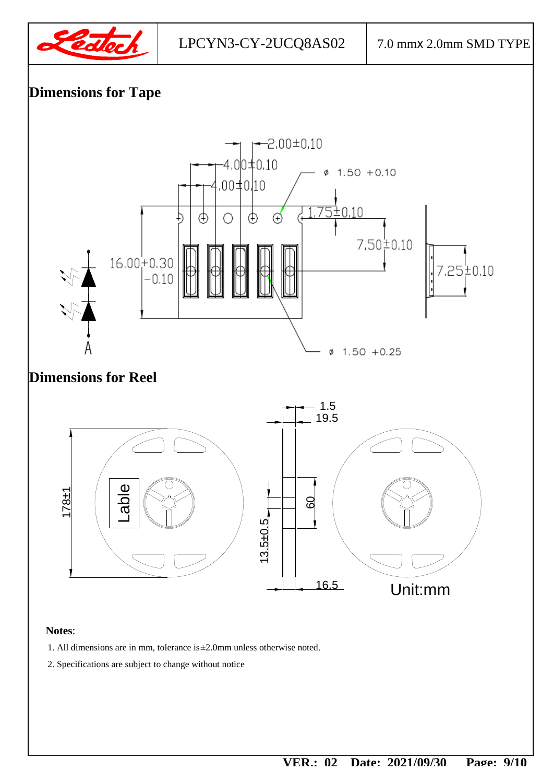



#### **Notes**:

- 1. All dimensions are in mm, tolerance is±2.0mm unless otherwise noted.
- 2. Specifications are subject to change without notice